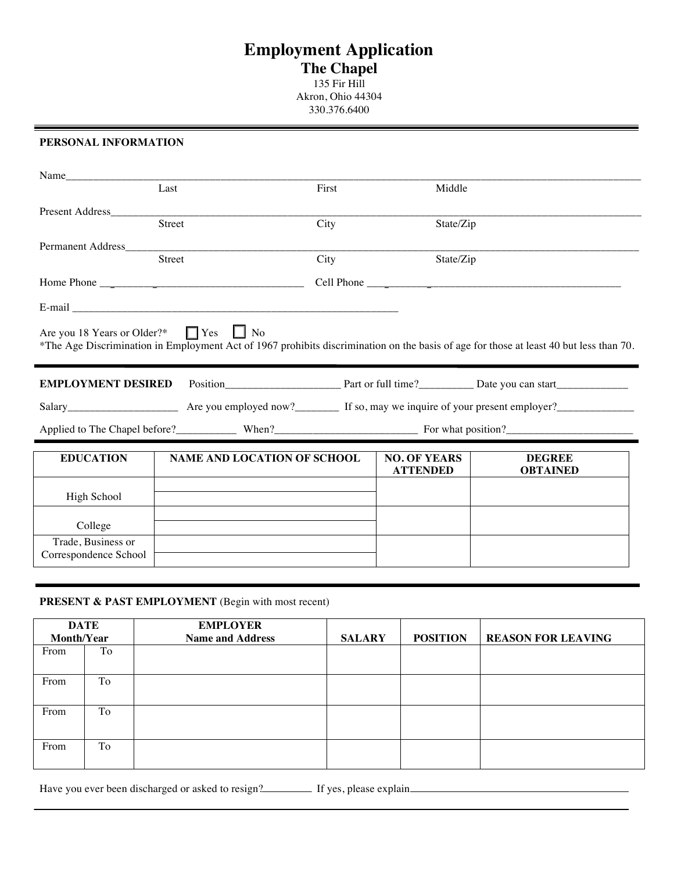# **Employment Application The Chapel** 135 Fir Hill

Akron, Ohio 44304 330.376.6400

#### **PERSONAL INFORMATION**

í.

|                                                  | Last                               | First | Middle              |                                                                                                                                        |  |
|--------------------------------------------------|------------------------------------|-------|---------------------|----------------------------------------------------------------------------------------------------------------------------------------|--|
| <b>Present Address</b>                           |                                    |       |                     |                                                                                                                                        |  |
|                                                  | <b>Street</b>                      | City  | State/Zip           |                                                                                                                                        |  |
| <b>Permanent Address</b>                         |                                    |       |                     |                                                                                                                                        |  |
|                                                  | Street                             | City  |                     | State/Zip                                                                                                                              |  |
|                                                  |                                    |       |                     |                                                                                                                                        |  |
|                                                  |                                    |       |                     |                                                                                                                                        |  |
| Are you 18 Years or Older?* $\Box$ Yes $\Box$ No |                                    |       |                     | *The Age Discrimination in Employment Act of 1967 prohibits discrimination on the basis of age for those at least 40 but less than 70. |  |
| <b>EMPLOYMENT DESIRED</b>                        |                                    |       |                     |                                                                                                                                        |  |
|                                                  |                                    |       |                     |                                                                                                                                        |  |
|                                                  |                                    |       |                     |                                                                                                                                        |  |
| <b>EDUCATION</b>                                 | <b>NAME AND LOCATION OF SCHOOL</b> |       | <b>NO. OF YEARS</b> | <b>DEGREE</b>                                                                                                                          |  |
|                                                  |                                    |       | <b>ATTENDED</b>     | <b>OBTAINED</b>                                                                                                                        |  |
| High School                                      |                                    |       |                     |                                                                                                                                        |  |
| College                                          |                                    |       |                     |                                                                                                                                        |  |
| Trade, Business or<br>Correspondence School      |                                    |       |                     |                                                                                                                                        |  |
|                                                  |                                    |       |                     |                                                                                                                                        |  |

## **PRESENT & PAST EMPLOYMENT** (Begin with most recent)

|            | <b>DATE</b> | <b>EMPLOYER</b>         |               |                 |                           |
|------------|-------------|-------------------------|---------------|-----------------|---------------------------|
| Month/Year |             | <b>Name and Address</b> | <b>SALARY</b> | <b>POSITION</b> | <b>REASON FOR LEAVING</b> |
| From       | To          |                         |               |                 |                           |
| From       | To          |                         |               |                 |                           |
| From       | To          |                         |               |                 |                           |
| From       | To          |                         |               |                 |                           |

Have you ever been discharged or asked to resign?<br>If yes, please explain\_